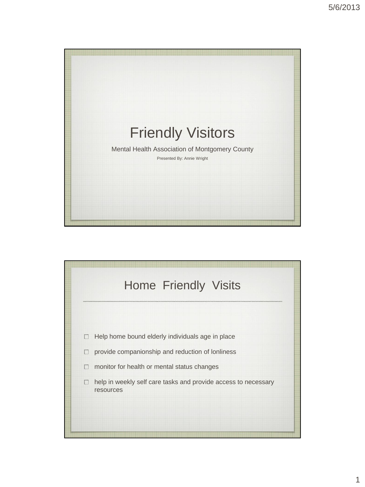

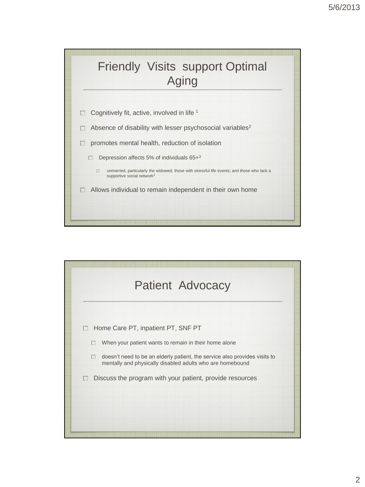

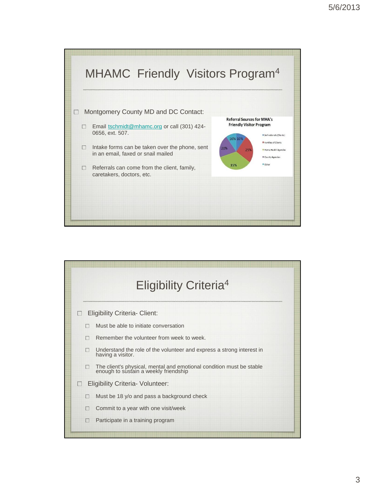

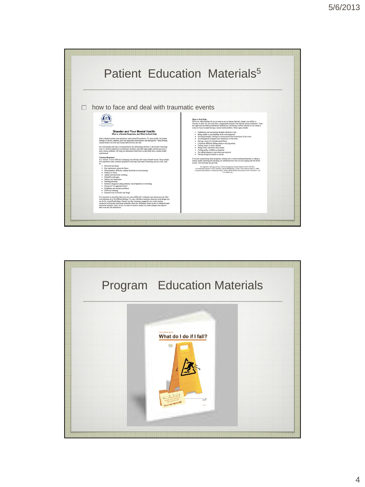